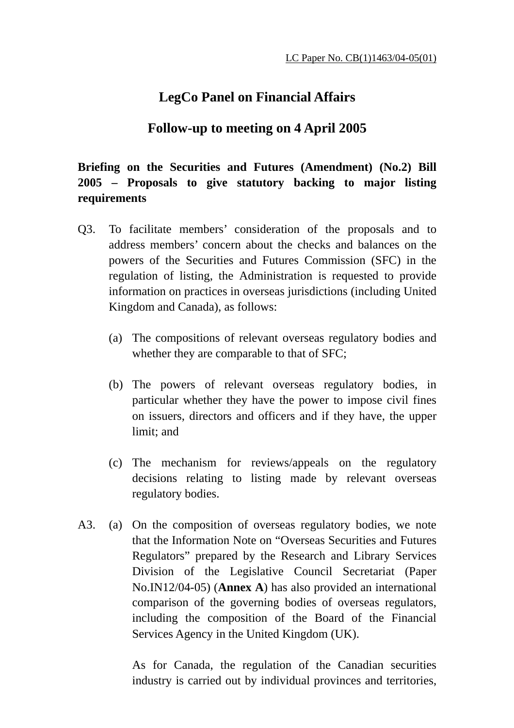## **LegCo Panel on Financial Affairs**

### **Follow-up to meeting on 4 April 2005**

**Briefing on the Securities and Futures (Amendment) (No.2) Bill 2005 – Proposals to give statutory backing to major listing requirements** 

- Q3. To facilitate members' consideration of the proposals and to address members' concern about the checks and balances on the powers of the Securities and Futures Commission (SFC) in the regulation of listing, the Administration is requested to provide information on practices in overseas jurisdictions (including United Kingdom and Canada), as follows:
	- (a) The compositions of relevant overseas regulatory bodies and whether they are comparable to that of SFC;
	- (b) The powers of relevant overseas regulatory bodies, in particular whether they have the power to impose civil fines on issuers, directors and officers and if they have, the upper limit; and
	- (c) The mechanism for reviews/appeals on the regulatory decisions relating to listing made by relevant overseas regulatory bodies.
- A3. (a) On the composition of overseas regulatory bodies, we note that the Information Note on "Overseas Securities and Futures Regulators" prepared by the Research and Library Services Division of the Legislative Council Secretariat (Paper No.IN12/04-05) (**Annex A**) has also provided an international comparison of the governing bodies of overseas regulators, including the composition of the Board of the Financial Services Agency in the United Kingdom (UK).

As for Canada, the regulation of the Canadian securities industry is carried out by individual provinces and territories,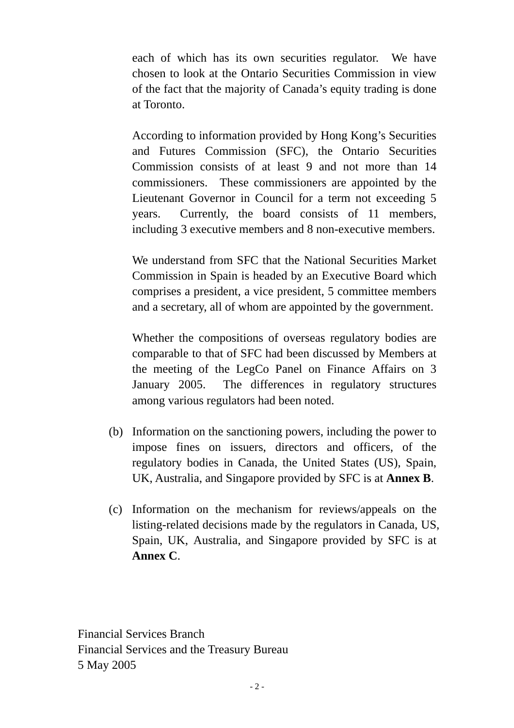each of which has its own securities regulator. We have chosen to look at the Ontario Securities Commission in view of the fact that the majority of Canada's equity trading is done at Toronto.

According to information provided by Hong Kong's Securities and Futures Commission (SFC), the Ontario Securities Commission consists of at least 9 and not more than 14 commissioners. These commissioners are appointed by the Lieutenant Governor in Council for a term not exceeding 5 years. Currently, the board consists of 11 members, including 3 executive members and 8 non-executive members.

We understand from SFC that the National Securities Market Commission in Spain is headed by an Executive Board which comprises a president, a vice president, 5 committee members and a secretary, all of whom are appointed by the government.

Whether the compositions of overseas regulatory bodies are comparable to that of SFC had been discussed by Members at the meeting of the LegCo Panel on Finance Affairs on 3 January 2005. The differences in regulatory structures among various regulators had been noted.

- (b) Information on the sanctioning powers, including the power to impose fines on issuers, directors and officers, of the regulatory bodies in Canada, the United States (US), Spain, UK, Australia, and Singapore provided by SFC is at **Annex B**.
- (c) Information on the mechanism for reviews/appeals on the listing-related decisions made by the regulators in Canada, US, Spain, UK, Australia, and Singapore provided by SFC is at **Annex C**.

Financial Services Branch Financial Services and the Treasury Bureau 5 May 2005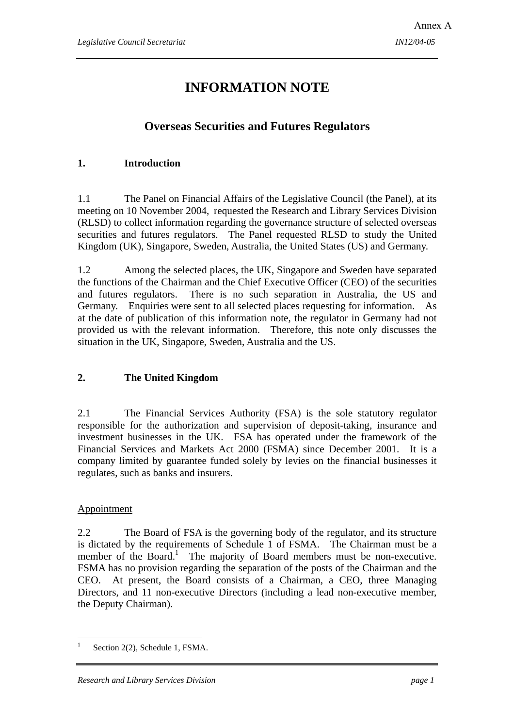## **INFORMATION NOTE**

#### **Overseas Securities and Futures Regulators**

#### **1. Introduction**

1.1 The Panel on Financial Affairs of the Legislative Council (the Panel), at its meeting on 10 November 2004, requested the Research and Library Services Division (RLSD) to collect information regarding the governance structure of selected overseas securities and futures regulators. The Panel requested RLSD to study the United Kingdom (UK), Singapore, Sweden, Australia, the United States (US) and Germany.

1.2 Among the selected places, the UK, Singapore and Sweden have separated the functions of the Chairman and the Chief Executive Officer (CEO) of the securities and futures regulators. There is no such separation in Australia, the US and Germany. Enquiries were sent to all selected places requesting for information. As at the date of publication of this information note, the regulator in Germany had not provided us with the relevant information. Therefore, this note only discusses the situation in the UK, Singapore, Sweden, Australia and the US.

#### **2. The United Kingdom**

2.1 The Financial Services Authority (FSA) is the sole statutory regulator responsible for the authorization and supervision of deposit-taking, insurance and investment businesses in the UK. FSA has operated under the framework of the Financial Services and Markets Act 2000 (FSMA) since December 2001. It is a company limited by guarantee funded solely by levies on the financial businesses it regulates, such as banks and insurers.

#### Appointment

2.2 The Board of FSA is the governing body of the regulator, and its structure is dictated by the requirements of Schedule 1 of FSMA. The Chairman must be a member of the Board.<sup>1</sup> The majority of Board members must be non-executive. FSMA has no provision regarding the separation of the posts of the Chairman and the CEO. At present, the Board consists of a Chairman, a CEO, three Managing Directors, and 11 non-executive Directors (including a lead non-executive member, the Deputy Chairman).

 $\overline{a}$ 1 Section 2(2), Schedule 1, FSMA.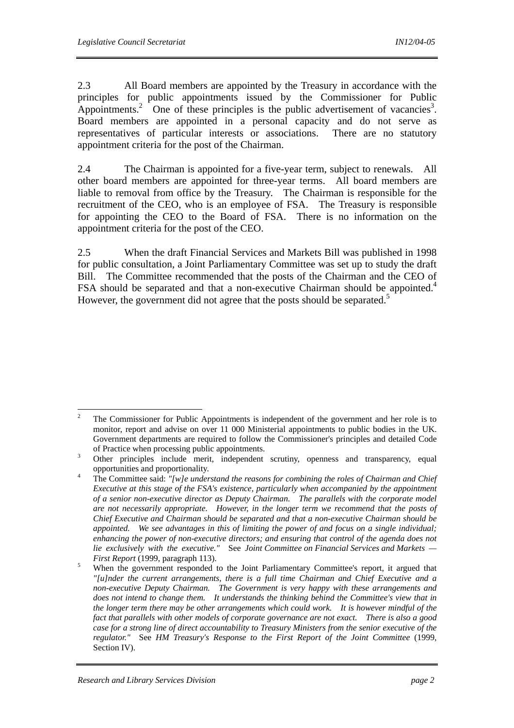2.3 All Board members are appointed by the Treasury in accordance with the principles for public appointments issued by the Commissioner for Public Appointments.<sup>2</sup> One of these principles is the public advertisement of vacancies<sup>3</sup>. Board members are appointed in a personal capacity and do not serve as representatives of particular interests or associations. There are no statutory appointment criteria for the post of the Chairman.

2.4 The Chairman is appointed for a five-year term, subject to renewals. All other board members are appointed for three-year terms. All board members are liable to removal from office by the Treasury. The Chairman is responsible for the recruitment of the CEO, who is an employee of FSA. The Treasury is responsible for appointing the CEO to the Board of FSA. There is no information on the appointment criteria for the post of the CEO.

2.5 When the draft Financial Services and Markets Bill was published in 1998 for public consultation, a Joint Parliamentary Committee was set up to study the draft Bill. The Committee recommended that the posts of the Chairman and the CEO of FSA should be separated and that a non-executive Chairman should be appointed.<sup>4</sup> However, the government did not agree that the posts should be separated.<sup>5</sup>

 $\frac{1}{2}$  The Commissioner for Public Appointments is independent of the government and her role is to monitor, report and advise on over 11 000 Ministerial appointments to public bodies in the UK. Government departments are required to follow the Commissioner's principles and detailed Code of Practice when processing public appointments. 3

Other principles include merit, independent scrutiny, openness and transparency, equal opportunities and proportionality.

The Committee said: *"[w]e understand the reasons for combining the roles of Chairman and Chief Executive at this stage of the FSA's existence, particularly when accompanied by the appointment of a senior non-executive director as Deputy Chairman. The parallels with the corporate model are not necessarily appropriate. However, in the longer term we recommend that the posts of Chief Executive and Chairman should be separated and that a non-executive Chairman should be appointed. We see advantages in this of limiting the power of and focus on a single individual; enhancing the power of non-executive directors; and ensuring that control of the agenda does not lie exclusively with the executive."* See *Joint Committee on Financial Services and Markets — First Report* (1999, paragraph 113).

When the government responded to the Joint Parliamentary Committee's report, it argued that *"[u]nder the current arrangements, there is a full time Chairman and Chief Executive and a non-executive Deputy Chairman. The Government is very happy with these arrangements and does not intend to change them. It understands the thinking behind the Committee's view that in the longer term there may be other arrangements which could work. It is however mindful of the fact that parallels with other models of corporate governance are not exact. There is also a good case for a strong line of direct accountability to Treasury Ministers from the senior executive of the regulator."* See *HM Treasury's Response to the First Report of the Joint Committee* (1999, Section IV).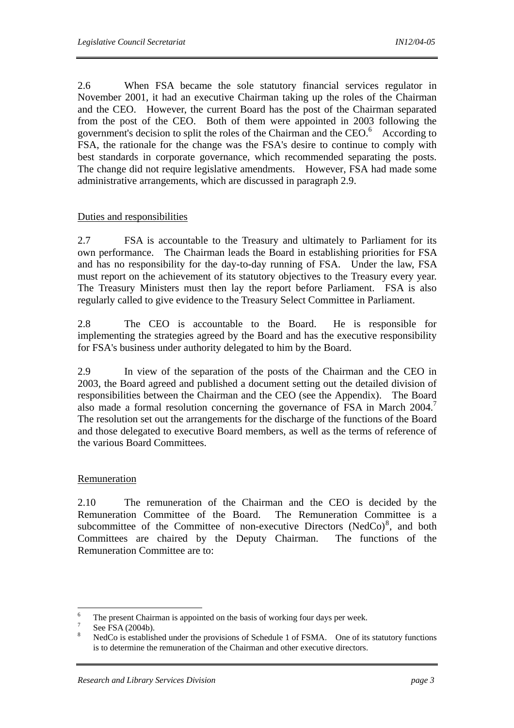2.6 When FSA became the sole statutory financial services regulator in November 2001, it had an executive Chairman taking up the roles of the Chairman and the CEO. However, the current Board has the post of the Chairman separated from the post of the CEO. Both of them were appointed in 2003 following the government's decision to split the roles of the Chairman and the CEO.<sup>6</sup> According to FSA, the rationale for the change was the FSA's desire to continue to comply with best standards in corporate governance, which recommended separating the posts. The change did not require legislative amendments. However, FSA had made some administrative arrangements, which are discussed in paragraph 2.9.

#### Duties and responsibilities

2.7 FSA is accountable to the Treasury and ultimately to Parliament for its own performance. The Chairman leads the Board in establishing priorities for FSA and has no responsibility for the day-to-day running of FSA. Under the law, FSA must report on the achievement of its statutory objectives to the Treasury every year. The Treasury Ministers must then lay the report before Parliament. FSA is also regularly called to give evidence to the Treasury Select Committee in Parliament.

2.8 The CEO is accountable to the Board. He is responsible for implementing the strategies agreed by the Board and has the executive responsibility for FSA's business under authority delegated to him by the Board.

2.9 In view of the separation of the posts of the Chairman and the CEO in 2003, the Board agreed and published a document setting out the detailed division of responsibilities between the Chairman and the CEO (see the Appendix). The Board also made a formal resolution concerning the governance of FSA in March 2004.<sup>7</sup> The resolution set out the arrangements for the discharge of the functions of the Board and those delegated to executive Board members, as well as the terms of reference of the various Board Committees.

#### Remuneration

2.10 The remuneration of the Chairman and the CEO is decided by the Remuneration Committee of the Board. The Remuneration Committee is a subcommittee of the Committee of non-executive Directors (NedCo) $\delta$ , and both Committees are chaired by the Deputy Chairman. The functions of the Remuneration Committee are to:

 $\frac{1}{6}$ <sup>6</sup> The present Chairman is appointed on the basis of working four days per week.

See FSA (2004b).

<sup>8</sup> NedCo is established under the provisions of Schedule 1 of FSMA. One of its statutory functions is to determine the remuneration of the Chairman and other executive directors.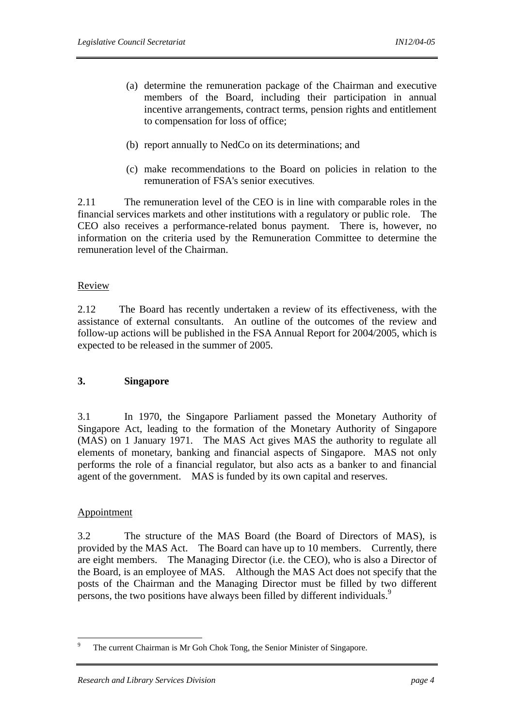- (a) determine the remuneration package of the Chairman and executive members of the Board, including their participation in annual incentive arrangements, contract terms, pension rights and entitlement to compensation for loss of office;
- (b) report annually to NedCo on its determinations; and
- (c) make recommendations to the Board on policies in relation to the remuneration of FSA's senior executives.

2.11 The remuneration level of the CEO is in line with comparable roles in the financial services markets and other institutions with a regulatory or public role. The CEO also receives a performance-related bonus payment. There is, however, no information on the criteria used by the Remuneration Committee to determine the remuneration level of the Chairman.

#### Review

2.12 The Board has recently undertaken a review of its effectiveness, with the assistance of external consultants. An outline of the outcomes of the review and follow-up actions will be published in the FSA Annual Report for 2004/2005, which is expected to be released in the summer of 2005.

#### **3. Singapore**

3.1 In 1970, the Singapore Parliament passed the Monetary Authority of Singapore Act, leading to the formation of the Monetary Authority of Singapore (MAS) on 1 January 1971. The MAS Act gives MAS the authority to regulate all elements of monetary, banking and financial aspects of Singapore. MAS not only performs the role of a financial regulator, but also acts as a banker to and financial agent of the government. MAS is funded by its own capital and reserves.

#### Appointment

3.2 The structure of the MAS Board (the Board of Directors of MAS), is provided by the MAS Act. The Board can have up to 10 members. Currently, there are eight members. The Managing Director (i.e. the CEO), who is also a Director of the Board, is an employee of MAS. Although the MAS Act does not specify that the posts of the Chairman and the Managing Director must be filled by two different persons, the two positions have always been filled by different individuals.<sup>9</sup>

<sup>-&</sup>lt;br>9 The current Chairman is Mr Goh Chok Tong, the Senior Minister of Singapore.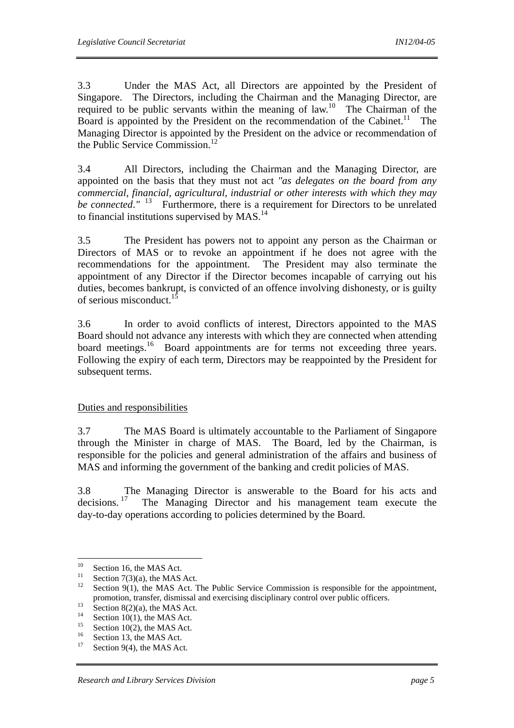3.3 Under the MAS Act, all Directors are appointed by the President of Singapore. The Directors, including the Chairman and the Managing Director, are required to be public servants within the meaning of law.<sup>10</sup> The Chairman of the Board is appointed by the President on the recommendation of the Cabinet.<sup>11</sup> The Managing Director is appointed by the President on the advice or recommendation of the Public Service Commission.<sup>12</sup>

3.4 All Directors, including the Chairman and the Managing Director, are appointed on the basis that they must not act *"as delegates on the board from any commercial, financial, agricultural, industrial or other interests with which they may be connected.*<sup>" 13</sup> Furthermore, there is a requirement for Directors to be unrelated to financial institutions supervised by MAS.<sup>14</sup>

3.5 The President has powers not to appoint any person as the Chairman or Directors of MAS or to revoke an appointment if he does not agree with the recommendations for the appointment. The President may also terminate the appointment of any Director if the Director becomes incapable of carrying out his duties, becomes bankrupt, is convicted of an offence involving dishonesty, or is guilty of serious misconduct.15

3.6 In order to avoid conflicts of interest, Directors appointed to the MAS Board should not advance any interests with which they are connected when attending board meetings.<sup>16</sup> Board appointments are for terms not exceeding three years. Following the expiry of each term, Directors may be reappointed by the President for subsequent terms.

#### Duties and responsibilities

3.7 The MAS Board is ultimately accountable to the Parliament of Singapore through the Minister in charge of MAS. The Board, led by the Chairman, is responsible for the policies and general administration of the affairs and business of MAS and informing the government of the banking and credit policies of MAS.

3.8 The Managing Director is answerable to the Board for his acts and decisions.<sup>17</sup> The Managing Director and his management team execute the The Managing Director and his management team execute the day-to-day operations according to policies determined by the Board.

 $10\,$  $^{10}$  Section 16, the MAS Act.

<sup>&</sup>lt;sup>11</sup> Section 7(3)(a), the MAS Act.

Section 9(1), the MAS Act. The Public Service Commission is responsible for the appointment, promotion, transfer, dismissal and exercising disciplinary control over public officers.<br>
Section 8(2)(a), the MAS Act.<br>
<sup>14</sup>

<sup>&</sup>lt;sup>14</sup> Section 10(1), the MAS Act.

 $^{15}$  Section 10(2), the MAS Act.

 $^{16}$  Section 13, the MAS Act.

Section  $9(4)$ , the MAS Act.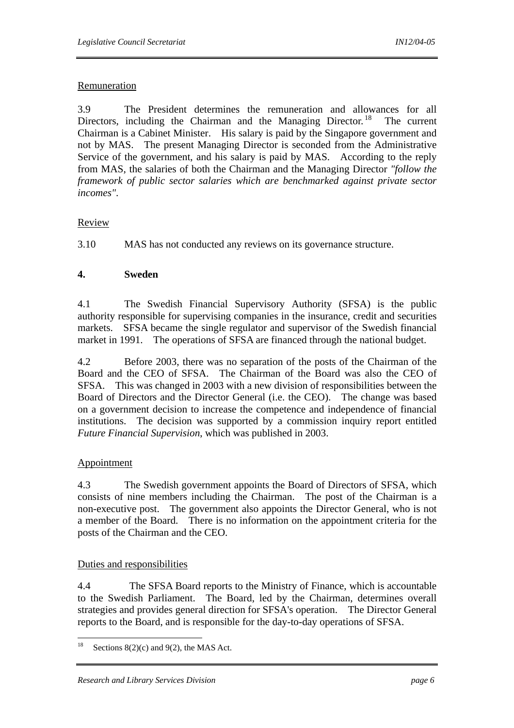#### Remuneration

3.9 The President determines the remuneration and allowances for all Directors, including the Chairman and the Managing Director.<sup>18</sup> The current Chairman is a Cabinet Minister. His salary is paid by the Singapore government and not by MAS. The present Managing Director is seconded from the Administrative Service of the government, and his salary is paid by MAS. According to the reply from MAS, the salaries of both the Chairman and the Managing Director *"follow the framework of public sector salaries which are benchmarked against private sector incomes"*.

#### Review

3.10 MAS has not conducted any reviews on its governance structure.

#### **4. Sweden**

4.1 The Swedish Financial Supervisory Authority (SFSA) is the public authority responsible for supervising companies in the insurance, credit and securities markets. SFSA became the single regulator and supervisor of the Swedish financial market in 1991. The operations of SFSA are financed through the national budget.

4.2 Before 2003, there was no separation of the posts of the Chairman of the Board and the CEO of SFSA. The Chairman of the Board was also the CEO of SFSA. This was changed in 2003 with a new division of responsibilities between the Board of Directors and the Director General (i.e. the CEO). The change was based on a government decision to increase the competence and independence of financial institutions. The decision was supported by a commission inquiry report entitled *Future Financial Supervision*, which was published in 2003.

#### Appointment

4.3 The Swedish government appoints the Board of Directors of SFSA, which consists of nine members including the Chairman. The post of the Chairman is a non-executive post. The government also appoints the Director General, who is not a member of the Board. There is no information on the appointment criteria for the posts of the Chairman and the CEO.

#### Duties and responsibilities

4.4 The SFSA Board reports to the Ministry of Finance, which is accountable to the Swedish Parliament. The Board, led by the Chairman, determines overall strategies and provides general direction for SFSA's operation. The Director General reports to the Board, and is responsible for the day-to-day operations of SFSA.

<sup>18</sup> Sections  $8(2)(c)$  and  $9(2)$ , the MAS Act.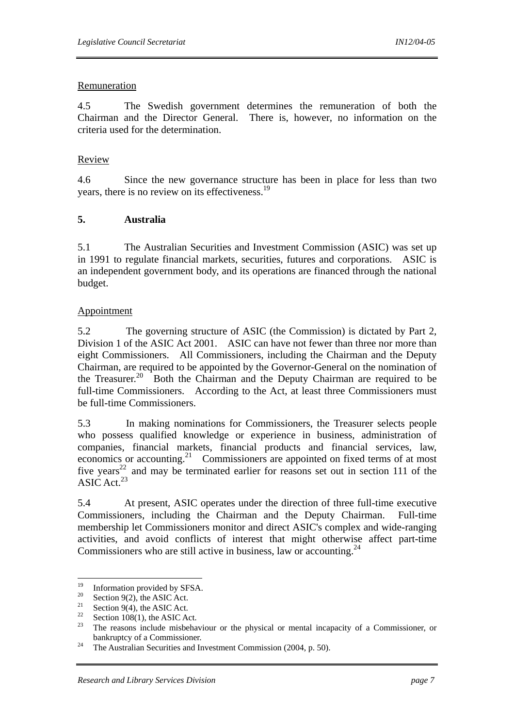#### Remuneration

4.5 The Swedish government determines the remuneration of both the Chairman and the Director General. There is, however, no information on the criteria used for the determination.

#### Review

4.6 Since the new governance structure has been in place for less than two years, there is no review on its effectiveness.<sup>19</sup>

#### **5. Australia**

5.1 The Australian Securities and Investment Commission (ASIC) was set up in 1991 to regulate financial markets, securities, futures and corporations. ASIC is an independent government body, and its operations are financed through the national budget.

#### Appointment

5.2 The governing structure of ASIC (the Commission) is dictated by Part 2, Division 1 of the ASIC Act 2001. ASIC can have not fewer than three nor more than eight Commissioners. All Commissioners, including the Chairman and the Deputy Chairman, are required to be appointed by the Governor-General on the nomination of the Treasurer.<sup>20</sup> Both the Chairman and the Deputy Chairman are required to be full-time Commissioners. According to the Act, at least three Commissioners must be full-time Commissioners.

5.3 In making nominations for Commissioners, the Treasurer selects people who possess qualified knowledge or experience in business, administration of companies, financial markets, financial products and financial services, law, economics or accounting.<sup>21</sup> Commissioners are appointed on fixed terms of at most five years<sup>22</sup> and may be terminated earlier for reasons set out in section 111 of the ASIC Act.  $23$ 

5.4 At present, ASIC operates under the direction of three full-time executive Commissioners, including the Chairman and the Deputy Chairman. Full-time membership let Commissioners monitor and direct ASIC's complex and wide-ranging activities, and avoid conflicts of interest that might otherwise affect part-time Commissioners who are still active in business, law or accounting.  $24$ 

<sup>19</sup> <sup>19</sup> Information provided by SFSA.<br><sup>20</sup> Section 0(2), the ASIC Act

<sup>&</sup>lt;sup>20</sup> Section 9(2), the ASIC Act.<br><sup>21</sup> Section 9(4), the ASIC Act.

<sup>&</sup>lt;sup>21</sup> Section 9(4), the ASIC Act.

<sup>&</sup>lt;sup>22</sup> Section 108(1), the ASIC Act.

<sup>23</sup> The reasons include misbehaviour or the physical or mental incapacity of a Commissioner, or bankruptcy of a Commissioner.<br><sup>24</sup> The Australian Securities and Investment Commission (2004, p. 50).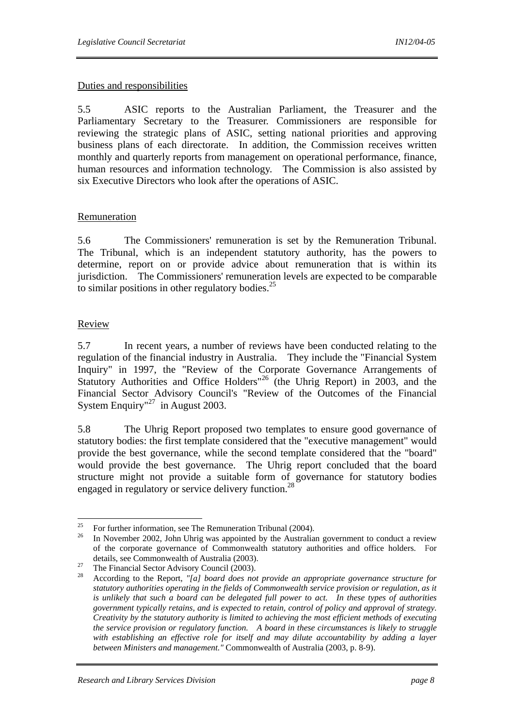#### Duties and responsibilities

5.5 ASIC reports to the Australian Parliament, the Treasurer and the Parliamentary Secretary to the Treasurer. Commissioners are responsible for reviewing the strategic plans of ASIC, setting national priorities and approving business plans of each directorate. In addition, the Commission receives written monthly and quarterly reports from management on operational performance, finance, human resources and information technology. The Commission is also assisted by six Executive Directors who look after the operations of ASIC.

#### Remuneration

5.6 The Commissioners' remuneration is set by the Remuneration Tribunal. The Tribunal, which is an independent statutory authority, has the powers to determine, report on or provide advice about remuneration that is within its jurisdiction. The Commissioners' remuneration levels are expected to be comparable to similar positions in other regulatory bodies. $2<sup>5</sup>$ 

#### Review

5.7 In recent years, a number of reviews have been conducted relating to the regulation of the financial industry in Australia. They include the "Financial System Inquiry" in 1997, the "Review of the Corporate Governance Arrangements of Statutory Authorities and Office Holders<sup>"26</sup> (the Uhrig Report) in 2003, and the Financial Sector Advisory Council's "Review of the Outcomes of the Financial System Enquiry<sup>"27</sup> in August 2003.

5.8 The Uhrig Report proposed two templates to ensure good governance of statutory bodies: the first template considered that the "executive management" would provide the best governance, while the second template considered that the "board" would provide the best governance. The Uhrig report concluded that the board structure might not provide a suitable form of governance for statutory bodies engaged in regulatory or service delivery function.<sup>28</sup>

<sup>25</sup> <sup>25</sup> For further information, see The Remuneration Tribunal (2004).<br><sup>26</sup> In Navamber 2002, John Uhrig was appointed by the Australian

<sup>26</sup> In November 2002, John Uhrig was appointed by the Australian government to conduct a review of the corporate governance of Commonwealth statutory authorities and office holders. For

details, see Commonwealth of Australia (2003).<br>
<sup>27</sup> The Financial Sector Advisory Council (2003).

<sup>28</sup> According to the Report, *"[a] board does not provide an appropriate governance structure for statutory authorities operating in the fields of Commonwealth service provision or regulation, as it is unlikely that such a board can be delegated full power to act. In these types of authorities government typically retains, and is expected to retain, control of policy and approval of strategy. Creativity by the statutory authority is limited to achieving the most efficient methods of executing the service provision or regulatory function. A board in these circumstances is likely to struggle with establishing an effective role for itself and may dilute accountability by adding a layer between Ministers and management."* Commonwealth of Australia (2003, p. 8-9).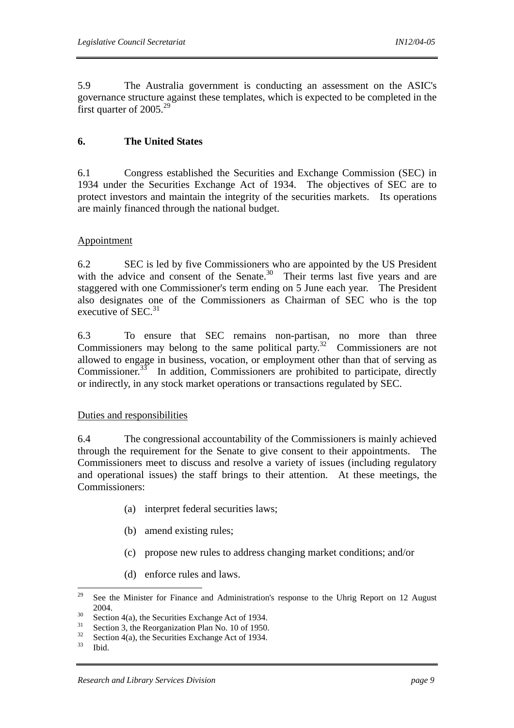5.9 The Australia government is conducting an assessment on the ASIC's governance structure against these templates, which is expected to be completed in the first quarter of  $2005.<sup>29</sup>$ 

#### **6. The United States**

6.1 Congress established the Securities and Exchange Commission (SEC) in 1934 under the Securities Exchange Act of 1934. The objectives of SEC are to protect investors and maintain the integrity of the securities markets. Its operations are mainly financed through the national budget.

#### Appointment

6.2 SEC is led by five Commissioners who are appointed by the US President with the advice and consent of the Senate. $30$  Their terms last five years and are staggered with one Commissioner's term ending on 5 June each year. The President also designates one of the Commissioners as Chairman of SEC who is the top executive of SEC. $31$ 

6.3 To ensure that SEC remains non-partisan, no more than three Commissioners may belong to the same political party.<sup>32</sup> Commissioners are not allowed to engage in business, vocation, or employment other than that of serving as Commissioner.<sup>33</sup> In addition, Commissioners are prohibited to participate, directly or indirectly, in any stock market operations or transactions regulated by SEC.

#### Duties and responsibilities

6.4 The congressional accountability of the Commissioners is mainly achieved through the requirement for the Senate to give consent to their appointments. The Commissioners meet to discuss and resolve a variety of issues (including regulatory and operational issues) the staff brings to their attention. At these meetings, the Commissioners:

- (a) interpret federal securities laws;
- (b) amend existing rules;
- (c) propose new rules to address changing market conditions; and/or
- (d) enforce rules and laws.

<sup>29</sup> See the Minister for Finance and Administration's response to the Uhrig Report on 12 August

<sup>2004.&</sup>lt;br>
<sup>30</sup> Section 4(a), the Securities Exchange Act of 1934.

 $\frac{31}{32}$  Section 3, the Reorganization Plan No. 10 of 1950.

<sup>&</sup>lt;sup>32</sup> Section 4(a), the Securities Exchange Act of 1934.

Ibid.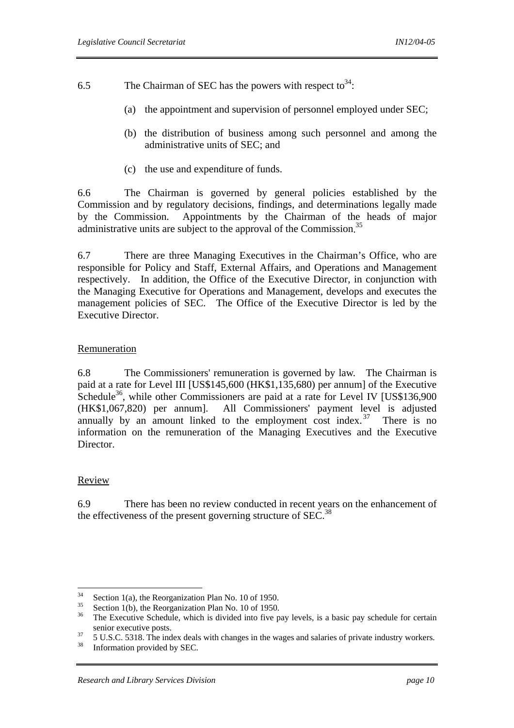6.5 The Chairman of SEC has the powers with respect to  $34$ .

- (a) the appointment and supervision of personnel employed under SEC;
- (b) the distribution of business among such personnel and among the administrative units of SEC; and
- (c) the use and expenditure of funds.

6.6 The Chairman is governed by general policies established by the Commission and by regulatory decisions, findings, and determinations legally made by the Commission. Appointments by the Chairman of the heads of major administrative units are subject to the approval of the Commission.<sup>35</sup>

6.7 There are three Managing Executives in the Chairman's Office, who are responsible for Policy and Staff, External Affairs, and Operations and Management respectively. In addition, the Office of the Executive Director, in conjunction with the Managing Executive for Operations and Management, develops and executes the management policies of SEC. The Office of the Executive Director is led by the Executive Director.

#### Remuneration

6.8 The Commissioners' remuneration is governed by law. The Chairman is paid at a rate for Level III [US\$145,600 (HK\$1,135,680) per annum] of the Executive Schedule<sup>36</sup>, while other Commissioners are paid at a rate for Level IV [US\$136,900] (HK\$1,067,820) per annum]. All Commissioners' payment level is adjusted annually by an amount linked to the employment cost index.  $37$  There is no information on the remuneration of the Managing Executives and the Executive Director.

#### Review

6.9 There has been no review conducted in recent years on the enhancement of the effectiveness of the present governing structure of  $SEC.<sup>38</sup>$ 

 $34$ <sup>34</sup> Section 1(a), the Reorganization Plan No. 10 of 1950.

 $35$  Section 1(b), the Reorganization Plan No. 10 of 1950.

<sup>36</sup> The Executive Schedule, which is divided into five pay levels, is a basic pay schedule for certain

senior executive posts.<br>  $5 \text{ U.S.C. } 5318$ . The index deals with changes in the wages and salaries of private industry workers.<br>  $\frac{38}{25}$ 

Information provided by SEC.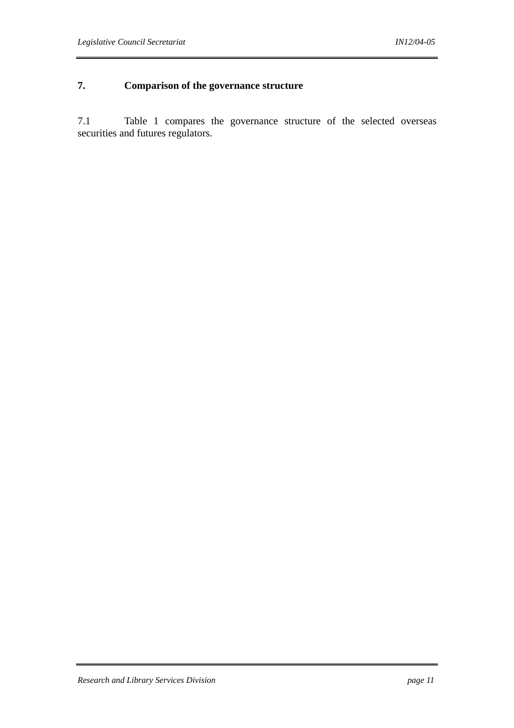### **7. Comparison of the governance structure**

7.1 Table 1 compares the governance structure of the selected overseas securities and futures regulators.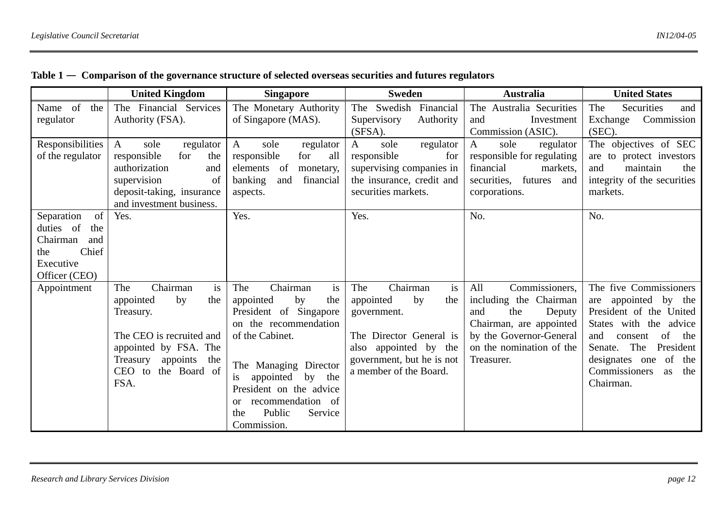|                                                                                                       | <b>United Kingdom</b>                                                                                                                                                              | <b>Singapore</b>                                                                                                                                                                                                                                                                  | <b>Sweden</b>                                                                                                                                                             | <b>Australia</b>                                                                                                                                                        | <b>United States</b>                                                                                                                                                                                                                        |
|-------------------------------------------------------------------------------------------------------|------------------------------------------------------------------------------------------------------------------------------------------------------------------------------------|-----------------------------------------------------------------------------------------------------------------------------------------------------------------------------------------------------------------------------------------------------------------------------------|---------------------------------------------------------------------------------------------------------------------------------------------------------------------------|-------------------------------------------------------------------------------------------------------------------------------------------------------------------------|---------------------------------------------------------------------------------------------------------------------------------------------------------------------------------------------------------------------------------------------|
| Name of<br>the<br>regulator                                                                           | The Financial Services<br>Authority (FSA).                                                                                                                                         | The Monetary Authority<br>of Singapore (MAS).                                                                                                                                                                                                                                     | The Swedish Financial<br>Supervisory<br>Authority<br>(SFSA).                                                                                                              | The Australia Securities<br>Investment<br>and<br>Commission (ASIC).                                                                                                     | Securities<br>The<br>and<br>Exchange<br>Commission<br>(SEC).                                                                                                                                                                                |
| Responsibilities<br>of the regulator                                                                  | $\mathbf{A}$<br>sole<br>regulator<br>responsible<br>for<br>the<br>authorization<br>and<br>supervision<br>of<br>deposit-taking, insurance<br>and investment business.               | sole<br>A<br>regulator<br>responsible<br>for<br>all<br>elements of<br>monetary,<br>banking<br>financial<br>and<br>aspects.                                                                                                                                                        | $\mathbf{A}$<br>sole<br>regulator<br>responsible<br>for<br>supervising companies in<br>the insurance, credit and<br>securities markets.                                   | $\mathbf{A}$<br>sole<br>regulator<br>responsible for regulating<br>financial<br>markets,<br>futures<br>securities,<br>and<br>corporations.                              | The objectives of SEC<br>are to protect investors<br>and<br>maintain<br>the<br>integrity of the securities<br>markets.                                                                                                                      |
| of<br>Separation<br>duties of<br>the<br>Chairman<br>and<br>Chief<br>the<br>Executive<br>Officer (CEO) | Yes.                                                                                                                                                                               | Yes.                                                                                                                                                                                                                                                                              | Yes.                                                                                                                                                                      | No.                                                                                                                                                                     | No.                                                                                                                                                                                                                                         |
| Appointment                                                                                           | is<br>Chairman<br>The<br>appointed<br>by<br>the<br>Treasury.<br>The CEO is recruited and<br>appointed by FSA. The<br>Treasury<br>appoints<br>the<br>the Board of<br>CEO to<br>FSA. | Chairman<br>The<br>is<br>appointed<br>by<br>the<br>President of Singapore<br>on the recommendation<br>of the Cabinet.<br>The Managing Director<br>appointed<br>by the<br>President on the advice<br>recommendation of<br><sub>or</sub><br>Public<br>Service<br>the<br>Commission. | Chairman<br>is<br>The<br>appointed<br>the<br>by<br>government.<br>The Director General is<br>also appointed by the<br>government, but he is not<br>a member of the Board. | Commissioners,<br>All<br>including the Chairman<br>the<br>and<br>Deputy<br>Chairman, are appointed<br>by the Governor-General<br>on the nomination of the<br>Treasurer. | The five Commissioners<br>are appointed by the<br>President of the United<br>States with the advice<br>of<br>and<br>the<br>consent<br>The<br>President<br>Senate.<br>designates one<br>of<br>the<br>Commissioners<br>the<br>as<br>Chairman. |

|  |  | Table $1$ $-$ Comparison of the governance structure of selected overseas securities and futures regulators |  |  |  |
|--|--|-------------------------------------------------------------------------------------------------------------|--|--|--|
|--|--|-------------------------------------------------------------------------------------------------------------|--|--|--|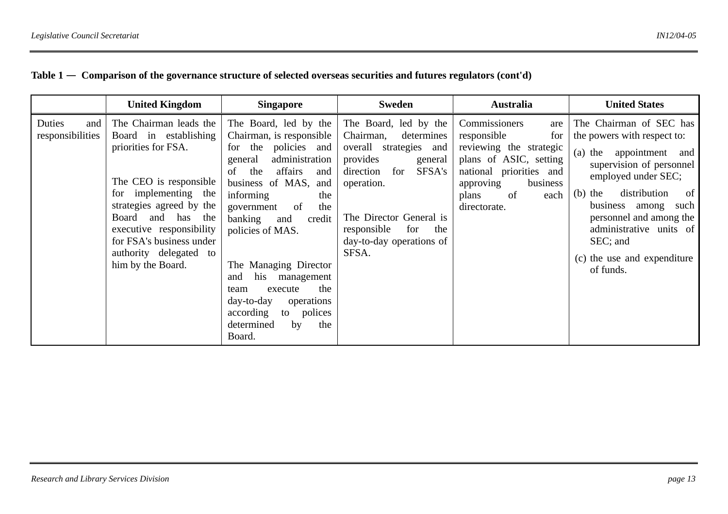#### **Table 1** — **Comparison of the governance structure of selected overseas securities and futures regulators (cont'd)**

|                                   | <b>United Kingdom</b>                                                                                                                                                                                                                                                               | <b>Singapore</b>                                                                                                                                                                                                                                                                                                                                                                                                                             | Sweden                                                                                                                                                                                                                                     | <b>Australia</b>                                                                                                                                                                           | <b>United States</b>                                                                                                                                                                                                                                                                                            |
|-----------------------------------|-------------------------------------------------------------------------------------------------------------------------------------------------------------------------------------------------------------------------------------------------------------------------------------|----------------------------------------------------------------------------------------------------------------------------------------------------------------------------------------------------------------------------------------------------------------------------------------------------------------------------------------------------------------------------------------------------------------------------------------------|--------------------------------------------------------------------------------------------------------------------------------------------------------------------------------------------------------------------------------------------|--------------------------------------------------------------------------------------------------------------------------------------------------------------------------------------------|-----------------------------------------------------------------------------------------------------------------------------------------------------------------------------------------------------------------------------------------------------------------------------------------------------------------|
| Duties<br>and<br>responsibilities | The Chairman leads the<br>Board in establishing<br>priorities for FSA.<br>The CEO is responsible<br>for implementing the<br>strategies agreed by the<br>and has the<br>Board<br>executive responsibility<br>for FSA's business under<br>authority delegated to<br>him by the Board. | The Board, led by the<br>Chairman, is responsible<br>for the policies and<br>administration<br>general<br>affairs<br>the<br>of<br>and<br>business of MAS,<br>and<br>informing<br>the<br>the<br>government<br>of<br>banking<br>credit<br>and<br>policies of MAS.<br>The Managing Director<br>his<br>management<br>and<br>the<br>execute<br>team<br>$day-to-day$<br>operations<br>according<br>to polices<br>determined<br>by<br>the<br>Board. | The Board, led by the<br>Chairman,<br>determines<br>overall strategies and<br>provides<br>general<br>SFSA's<br>for<br>direction<br>operation.<br>The Director General is<br>responsible<br>for<br>the<br>day-to-day operations of<br>SFSA. | Commissioners<br>are<br>responsible<br>for<br>reviewing the strategic<br>plans of ASIC, setting<br>national priorities and<br>approving<br>business<br>plans<br>of<br>each<br>directorate. | The Chairman of SEC has<br>the powers with respect to:<br>(a) the appointment and<br>supervision of personnel<br>employed under SEC;<br>distribution<br>$(b)$ the<br>of<br>business among<br>such<br>personnel and among the<br>administrative units of<br>SEC; and<br>(c) the use and expenditure<br>of funds. |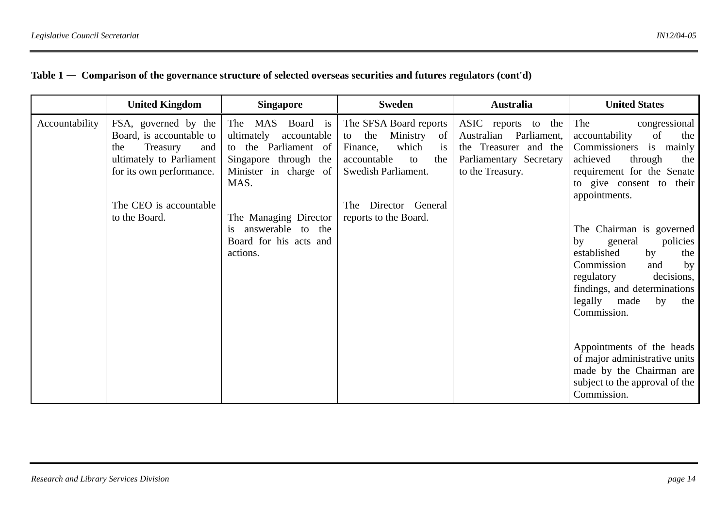#### **Table 1** — **Comparison of the governance structure of selected overseas securities and futures regulators (cont'd)**

|                | <b>United Kingdom</b>                                                                                                                                                         | <b>Singapore</b>                                                                                                                                                                                                             | Sweden                                                                                                                                                                                           | <b>Australia</b>                                                                                                         | <b>United States</b>                                                                                                                                                                                                                                                                                                                                                                                                                                                                                               |
|----------------|-------------------------------------------------------------------------------------------------------------------------------------------------------------------------------|------------------------------------------------------------------------------------------------------------------------------------------------------------------------------------------------------------------------------|--------------------------------------------------------------------------------------------------------------------------------------------------------------------------------------------------|--------------------------------------------------------------------------------------------------------------------------|--------------------------------------------------------------------------------------------------------------------------------------------------------------------------------------------------------------------------------------------------------------------------------------------------------------------------------------------------------------------------------------------------------------------------------------------------------------------------------------------------------------------|
| Accountability | FSA, governed by the<br>Board, is accountable to<br>Treasury<br>the<br>and<br>ultimately to Parliament<br>for its own performance.<br>The CEO is accountable<br>to the Board. | The MAS Board is<br>ultimately<br>accountable<br>Parliament of<br>to the<br>Singapore through the<br>Minister in charge of<br>MAS.<br>The Managing Director<br>answerable to the<br>is<br>Board for his acts and<br>actions. | The SFSA Board reports<br>Ministry<br>the<br>of<br>to<br>which<br>Finance,<br><sup>1</sup> S<br>accountable<br>the<br>to<br>Swedish Parliament.<br>The Director General<br>reports to the Board. | ASIC reports to the<br>Australian<br>Parliament,<br>the Treasurer and the<br>Parliamentary Secretary<br>to the Treasury. | The<br>congressional<br>of<br>accountability<br>the<br>Commissioners<br>is<br>mainly<br>achieved<br>through<br>the<br>requirement for the Senate<br>to give consent to their<br>appointments.<br>The Chairman is governed<br>by<br>general<br>policies<br>established<br>by<br>the<br>Commission<br>by<br>and<br>regulatory<br>decisions,<br>findings, and determinations<br>legally<br>made<br>by<br>the<br>Commission.<br>Appointments of the heads<br>of major administrative units<br>made by the Chairman are |
|                |                                                                                                                                                                               |                                                                                                                                                                                                                              |                                                                                                                                                                                                  |                                                                                                                          | subject to the approval of the<br>Commission.                                                                                                                                                                                                                                                                                                                                                                                                                                                                      |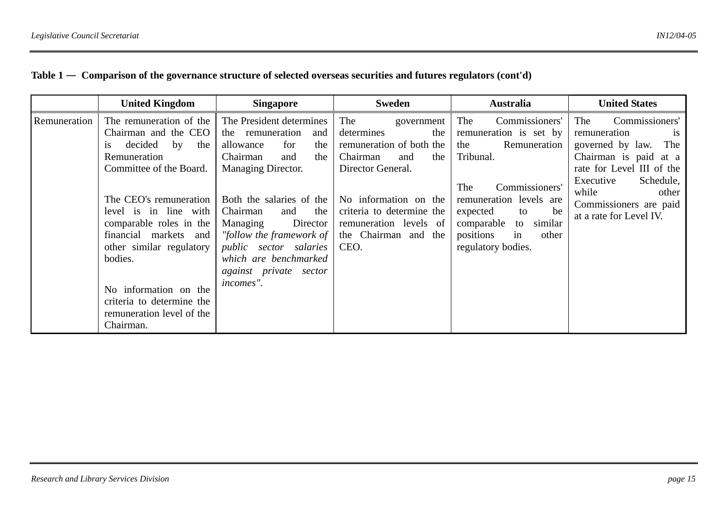#### **Table 1** — **Comparison of the governance structure of selected overseas securities and futures regulators (cont'd)**

|              | <b>United Kingdom</b>                                                                                                                                                                                                                                                                                                                                               | <b>Singapore</b>                                                                                                                                                                                                                                                                                                                          | <b>Sweden</b>                                                                                                                                                                                                                     | <b>Australia</b>                                                                                                                                                                                                                              | <b>United States</b>                                                                                                                                                                                                                 |
|--------------|---------------------------------------------------------------------------------------------------------------------------------------------------------------------------------------------------------------------------------------------------------------------------------------------------------------------------------------------------------------------|-------------------------------------------------------------------------------------------------------------------------------------------------------------------------------------------------------------------------------------------------------------------------------------------------------------------------------------------|-----------------------------------------------------------------------------------------------------------------------------------------------------------------------------------------------------------------------------------|-----------------------------------------------------------------------------------------------------------------------------------------------------------------------------------------------------------------------------------------------|--------------------------------------------------------------------------------------------------------------------------------------------------------------------------------------------------------------------------------------|
| Remuneration | The remuneration of the<br>Chairman and the CEO<br>decided by<br>the<br>1S<br>Remuneration<br>Committee of the Board.<br>The CEO's remuneration<br>level is in line with<br>comparable roles in the<br>financial markets and<br>other similar regulatory<br>bodies.<br>No information on the<br>criteria to determine the<br>remuneration level of the<br>Chairman. | The President determines<br>the remuneration<br>and<br>the<br>allowance<br>for<br>Chairman<br>the<br>and<br>Managing Director.<br>Both the salaries of the<br>Chairman<br>the<br>and<br>Managing<br>Director<br>"follow the framework of<br><i>public</i> sector salaries<br>which are benchmarked<br>against private sector<br>incomes". | The<br>government<br>determines<br>the<br>remuneration of both the<br>Chairman<br>and<br>the<br>Director General.<br>No information on the<br>criteria to determine the<br>remuneration levels of<br>the Chairman and the<br>CEO. | Commissioners'<br>The<br>remuneration is set by<br>Remuneration<br>the<br>Tribunal.<br>The<br>Commissioners'<br>remuneration levels are<br>expected<br>be<br>to<br>comparable<br>to similar<br>positions<br>in<br>other<br>regulatory bodies. | Commissioners'<br>The<br>remuneration<br><b>1S</b><br>governed by law.<br>The<br>Chairman is paid at a<br>rate for Level III of the<br>Schedule,<br>Executive<br>while<br>other<br>Commissioners are paid<br>at a rate for Level IV. |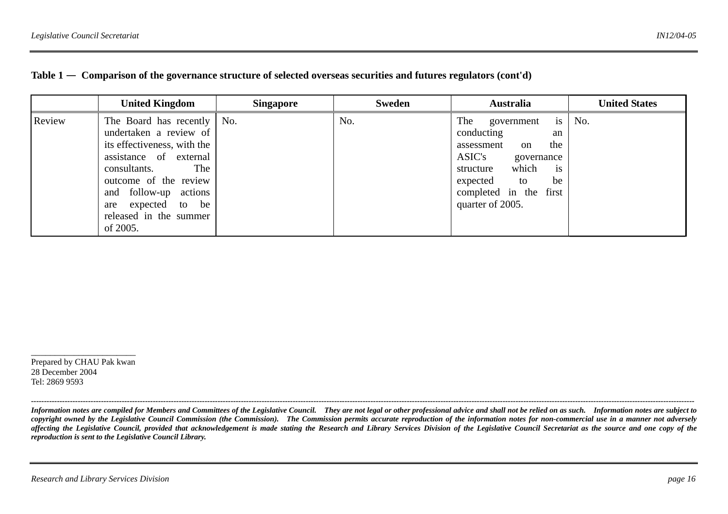|        | <b>United Kingdom</b>                                                                                                                                                                                                                             | <b>Singapore</b> | <b>Sweden</b> | <b>Australia</b>                                                                                                                                                                                     | <b>United States</b> |
|--------|---------------------------------------------------------------------------------------------------------------------------------------------------------------------------------------------------------------------------------------------------|------------------|---------------|------------------------------------------------------------------------------------------------------------------------------------------------------------------------------------------------------|----------------------|
| Review | The Board has recently   No.<br>undertaken a review of<br>its effectiveness, with the<br>assistance of external<br>consultants. The<br>outcome of the review<br>and follow-up actions<br>are expected to be<br>released in the summer<br>of 2005. |                  | No.           | is<br>The<br>government<br>conducting<br>an<br>the<br>assessment<br>on<br>ASIC's<br>governance<br>which<br>structure<br><i>is</i><br>expected to<br>be<br>completed in the first<br>quarter of 2005. | No.                  |

|  | Table $1$ $-$ Comparison of the governance structure of selected overseas securities and futures regulators (cont'd) |  |  |
|--|----------------------------------------------------------------------------------------------------------------------|--|--|
|  |                                                                                                                      |  |  |

 $\overline{\phantom{a}}$  , and the contract of the contract of the contract of the contract of the contract of the contract of the contract of the contract of the contract of the contract of the contract of the contract of the contrac Prepared by CHAU Pak kwan 28 December 2004 Tel: 2869 9593

*Information notes are compiled for Members and Committees of the Legislative Council. They are not legal or other professional advice and shall not be relied on as such. Information notes are subject to copyright owned by the Legislative Council Commission (the Commission). The Commission permits accurate reproduction of the information notes for non-commercial use in a manner not adversely*  affecting the Legislative Council, provided that acknowledgement is made stating the Research and Library Services Division of the Legislative Council Secretariat as the source and one copy of the *reproduction is sent to the Legislative Council Library.*

*----------------------------------------------------------------------------------------------------------------------------------------------------------------------------------------------------------------------------------------------------------------*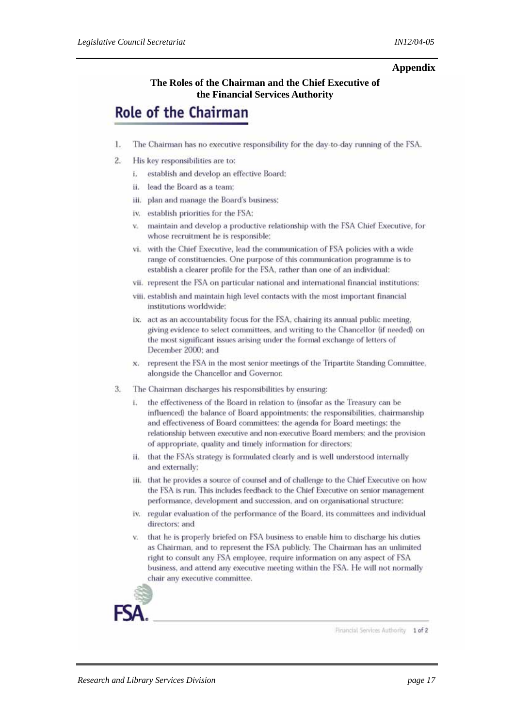#### **Appendix**

#### **The Roles of the Chairman and the Chief Executive of the Financial Services Authority**

# **Role of the Chairman**

- 1. The Chairman has no executive responsibility for the day-to-day running of the FSA.
- $2.5$ His key responsibilities are to:
	- i. establish and develop an effective Board:
	- ii. lead the Board as a team:
	- iii. plan and manage the Board's business:
	- iv. establish priorities for the FSA:
	- v. maintain and develop a productive relationship with the FSA Chief Executive, for whose recruitment he is responsible:
	- vi. with the Chief Executive, lead the communication of FSA policies with a wide range of constituencies. One purpose of this communication programme is to establish a clearer profile for the FSA, rather than one of an individual:
	- vii. represent the FSA on particular national and international financial institutions:
	- viii. establish and maintain high level contacts with the most important financial institutions worldwide:
	- ix. act as an accountability focus for the FSA, chairing its annual public meeting, giving evidence to select committees, and writing to the Chancellor (if needed) on the most significant issues arising under the formal exchange of letters of December 2000: and
	- x. represent the FSA in the most senior meetings of the Tripartite Standing Committee, alongside the Chancellor and Governor.
- 3. The Chairman discharges his responsibilities by ensuring:
	- the effectiveness of the Board in relation to (insofar as the Treasury can be influenced) the balance of Board appointments; the responsibilities, chairmanship and effectiveness of Board committees; the agenda for Board meetings; the relationship between executive and non-executive Board members; and the provision of appropriate, quality and timely information for directors:
	- ii. that the FSA's strategy is formulated clearly and is well understood internally and externally:
	- iii. that he provides a source of counsel and of challenge to the Chief Executive on how the FSA is run. This includes feedback to the Chief Executive on senior management performance, development and succession, and on organisational structure:
	- iv. regular evaluation of the performance of the Board, its committees and individual directors; and
	- v. that he is properly briefed on FSA business to enable him to discharge his duties as Chairman, and to represent the FSA publicly. The Chairman has an unlimited right to consult any FSA employee, require information on any aspect of FSA business, and attend any executive meeting within the FSA. He will not normally chair any executive committee.

Financial Services Authority 1 of 2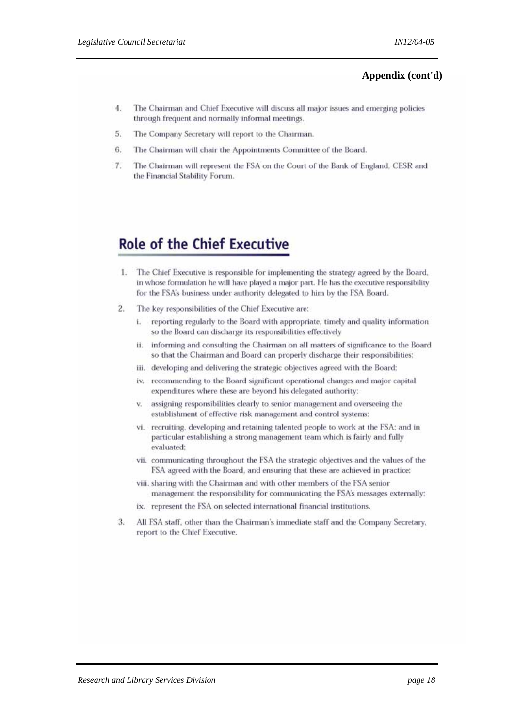#### **Appendix (cont'd)**

- 4. The Chairman and Chief Executive will discuss all major issues and emerging policies through frequent and normally informal meetings.
- The Company Secretary will report to the Chairman. 5.
- 6. The Chairman will chair the Appointments Committee of the Board.
- The Chairman will represent the FSA on the Court of the Bank of England, CESR and 7. the Financial Stability Forum.

## **Role of the Chief Executive**

- 1. The Chief Executive is responsible for implementing the strategy agreed by the Board, in whose formulation he will have played a major part. He has the executive responsibility for the FSA's business under authority delegated to him by the FSA Board.
- $2.$ The key responsibilities of the Chief Executive are:
	- i. reporting regularly to the Board with appropriate, timely and quality information so the Board can discharge its responsibilities effectively
	- ii. informing and consulting the Chairman on all matters of significance to the Board so that the Chairman and Board can properly discharge their responsibilities;
	- iii. developing and delivering the strategic objectives agreed with the Board:
	- iv. recommending to the Board significant operational changes and major capital expenditures where these are beyond his delegated authority:
	- assigning responsibilities clearly to senior management and overseeing the v. establishment of effective risk management and control systems:
	- vi. recruiting, developing and retaining talented people to work at the FSA; and in particular establishing a strong management team which is fairly and fully evaluated:
	- vii. communicating throughout the FSA the strategic objectives and the values of the FSA agreed with the Board, and ensuring that these are achieved in practice:
	- viii. sharing with the Chairman and with other members of the FSA senior management the responsibility for communicating the FSA's messages externally:
	- ix. represent the FSA on selected international financial institutions.
- All FSA staff, other than the Chairman's immediate staff and the Company Secretary,  $3.$ report to the Chief Executive.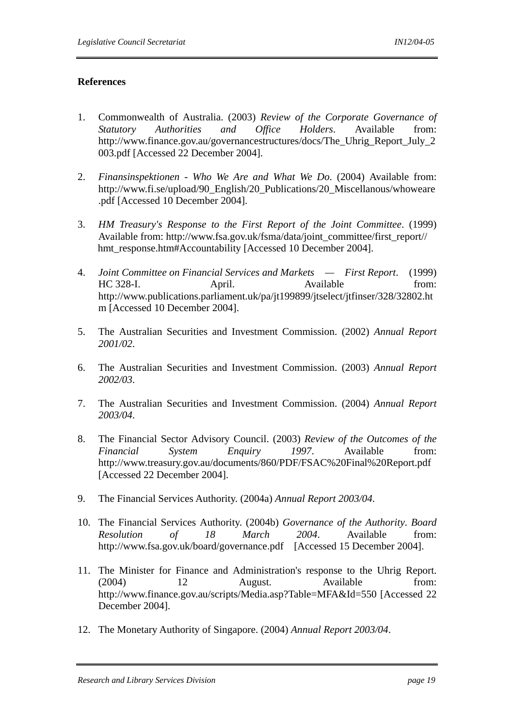#### **References**

- 1. Commonwealth of Australia. (2003) *Review of the Corporate Governance of Statutory Authorities and Office Holders*. Available from: http://www.finance.gov.au/governancestructures/docs/The\_Uhrig\_Report\_July\_2 003.pdf [Accessed 22 December 2004].
- 2. *Finansinspektionen Who We Are and What We Do*. (2004) Available from: http://www.fi.se/upload/90\_English/20\_Publications/20\_Miscellanous/whoweare .pdf [Accessed 10 December 2004].
- 3. *HM Treasury's Response to the First Report of the Joint Committee*. (1999) Available from: http://www.fsa.gov.uk/fsma/data/joint\_committee/first\_report// hmt\_response.htm#Accountability [Accessed 10 December 2004].
- 4. *Joint Committee on Financial Services and Markets First Report*. (1999) HC 328-I. April. Available from: http://www.publications.parliament.uk/pa/jt199899/jtselect/jtfinser/328/32802.ht m [Accessed 10 December 2004].
- 5. The Australian Securities and Investment Commission. (2002) *Annual Report 2001/02*.
- 6. The Australian Securities and Investment Commission. (2003) *Annual Report 2002/03*.
- 7. The Australian Securities and Investment Commission. (2004) *Annual Report 2003/04*.
- 8. The Financial Sector Advisory Council. (2003) *Review of the Outcomes of the Financial System Enquiry 1997*. Available from: http://www.treasury.gov.au/documents/860/PDF/FSAC%20Final%20Report.pdf [Accessed 22 December 2004].
- 9. The Financial Services Authority. (2004a) *Annual Report 2003/04*.
- 10. The Financial Services Authority. (2004b) *Governance of the Authority*. *Board Resolution of 18 March 2004*. Available from: http://www.fsa.gov.uk/board/governance.pdf [Accessed 15 December 2004].
- 11. The Minister for Finance and Administration's response to the Uhrig Report. (2004) 12 August. Available from: http://www.finance.gov.au/scripts/Media.asp?Table=MFA&Id=550 [Accessed 22 December 2004].
- 12. The Monetary Authority of Singapore. (2004) *Annual Report 2003/04*.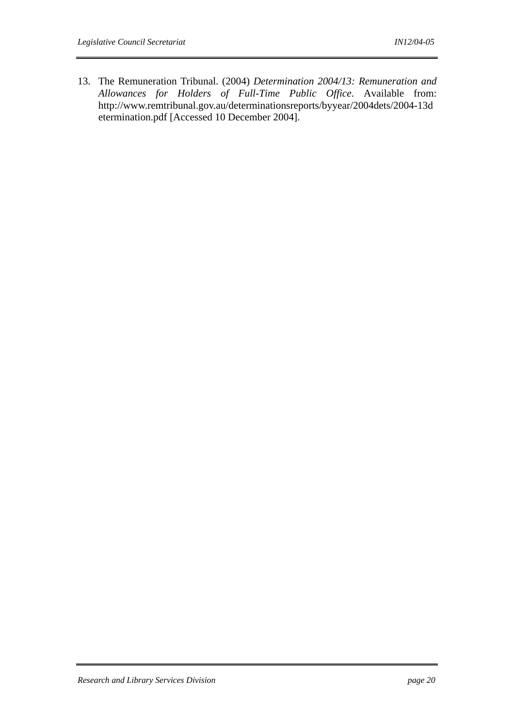13. The Remuneration Tribunal. (2004) *Determination 2004/13: Remuneration and Allowances for Holders of Full-Time Public Office*. Available from: http://www.remtribunal.gov.au/determinationsreports/byyear/2004dets/2004-13d etermination.pdf [Accessed 10 December 2004].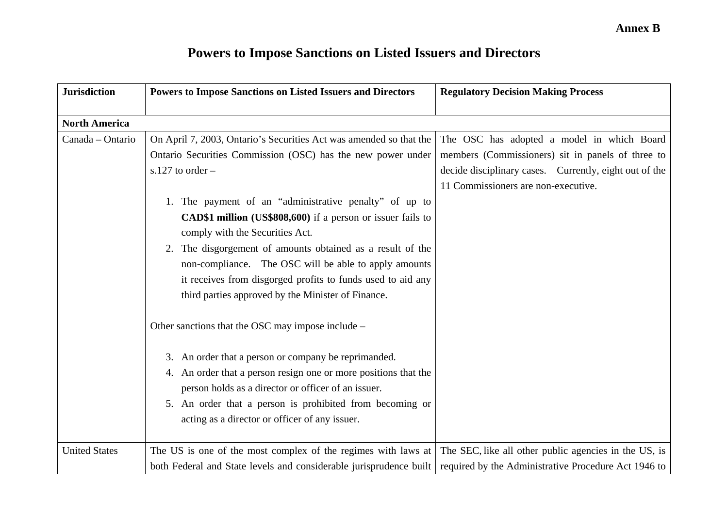# **Powers to Impose Sanctions on Listed Issuers and Directors**

| <b>Jurisdiction</b>  | <b>Powers to Impose Sanctions on Listed Issuers and Directors</b>                                                                                                                                                                                                                                                                                                                                                                                                                                                                                                                                                           | <b>Regulatory Decision Making Process</b>                                                                                                                                                        |
|----------------------|-----------------------------------------------------------------------------------------------------------------------------------------------------------------------------------------------------------------------------------------------------------------------------------------------------------------------------------------------------------------------------------------------------------------------------------------------------------------------------------------------------------------------------------------------------------------------------------------------------------------------------|--------------------------------------------------------------------------------------------------------------------------------------------------------------------------------------------------|
| <b>North America</b> |                                                                                                                                                                                                                                                                                                                                                                                                                                                                                                                                                                                                                             |                                                                                                                                                                                                  |
| Canada - Ontario     | On April 7, 2003, Ontario's Securities Act was amended so that the<br>Ontario Securities Commission (OSC) has the new power under<br>s.127 to order $-$<br>1. The payment of an "administrative penalty" of up to<br><b>CAD\$1 million</b> (US\$808,600) if a person or issuer fails to<br>comply with the Securities Act.<br>2. The disgorgement of amounts obtained as a result of the<br>non-compliance. The OSC will be able to apply amounts<br>it receives from disgorged profits to funds used to aid any<br>third parties approved by the Minister of Finance.<br>Other sanctions that the OSC may impose include – | The OSC has adopted a model in which Board<br>members (Commissioners) sit in panels of three to<br>decide disciplinary cases. Currently, eight out of the<br>11 Commissioners are non-executive. |
|                      | 3. An order that a person or company be reprimanded.<br>4. An order that a person resign one or more positions that the<br>person holds as a director or officer of an issuer.<br>5. An order that a person is prohibited from becoming or<br>acting as a director or officer of any issuer.                                                                                                                                                                                                                                                                                                                                |                                                                                                                                                                                                  |
| <b>United States</b> | The US is one of the most complex of the regimes with laws at $\vert$ The SEC, like all other public agencies in the US, is<br>both Federal and State levels and considerable jurisprudence built                                                                                                                                                                                                                                                                                                                                                                                                                           | required by the Administrative Procedure Act 1946 to                                                                                                                                             |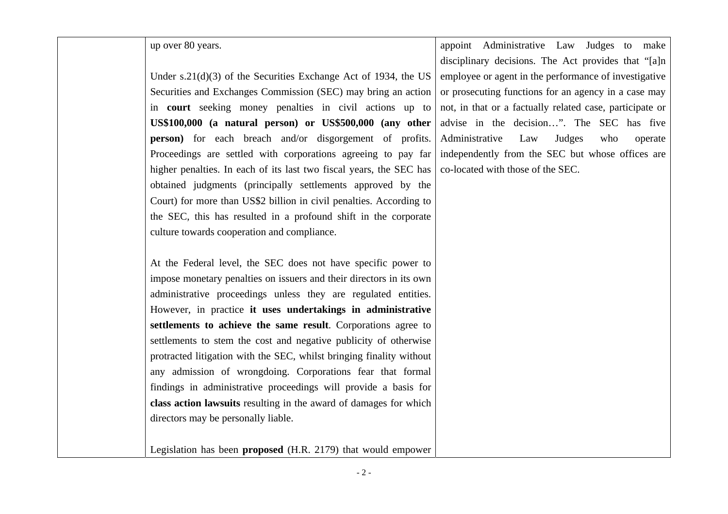up over 80 years.

Under s.21(d)(3) of the Securities Exchange Act of 1934, the US Securities and Exchanges Commission (SEC) may bring an action in **court** seeking money penalties in civil actions up to **US\$100,000 (a natural person) or US\$500,000 (any other person**) for each breach and/or disgorgement of profits. Proceedings are settled with corporations agreeing to pay far higher penalties. In each of its last two fiscal years, the SEC has obtained judgments (principally settlements approved by the Court) for more than US\$2 billion in civil penalties. According to the SEC, this has resulted in a profound shift in the corporate culture towards cooperation and compliance.

At the Federal level, the SEC does not have specific power to impose monetary penalties on issuers and their directors in its own administrative proceedings unless they are regulated entities. However, in practice **it uses undertakings in administrative settlements to achieve the same result**. Corporations agree to settlements to stem the cost and negative publicity of otherwise protracted litigation with the SEC, whilst bringing finality without any admission of wrongdoing. Corporations fear that formal findings in administrative proceedings will provide a basis for **class action lawsuits** resulting in the award of damages for which directors may be personally liable.

Legislation has been **proposed** (H.R. 2179) that would empower

appoint Administrative Law Judges to make disciplinary decisions. The Act provides that "[a]n employee or agent in the performance of investigative or prosecuting functions for an agency in a case may not, in that or a factually related case, participate or advise in the decision…". The SEC has five Administrative Law Judges who operate independently from the SEC but whose offices are co-located with those of the SEC.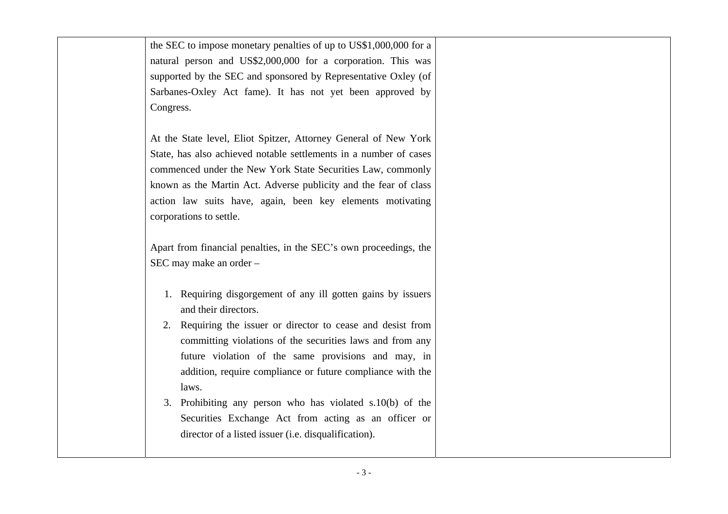the SEC to impose monetary penalties of up to US\$1,000,000 for a natural person and US\$2,000,000 for a corporation. This was supported by the SEC and sponsored by Representative Oxley (of Sarbanes-Oxley Act fame). It has not yet been approved by Congress.

At the State level, Eliot Spitzer, Attorney General of New York State, has also achieved notable settlements in a number of cases commenced under the New York State Securities Law, commonly known as the Martin Act. Adverse publicity and the fear of class action law suits have, again, been key elements motivating corporations to settle.

Apart from financial penalties, in the SEC's own proceedings, the SEC may make an order –

- 1. Requiring disgorgement of any ill gotten gains by issuers and their directors.
- 2. Requiring the issuer or director to cease and desist from committing violations of the securities laws and from any future violation of the same provisions and may, in addition, require compliance or future compliance with the laws.
- 3. Prohibiting any person who has violated s.10(b) of the Securities Exchange Act from acting as an officer or director of a listed issuer (i.e. disqualification).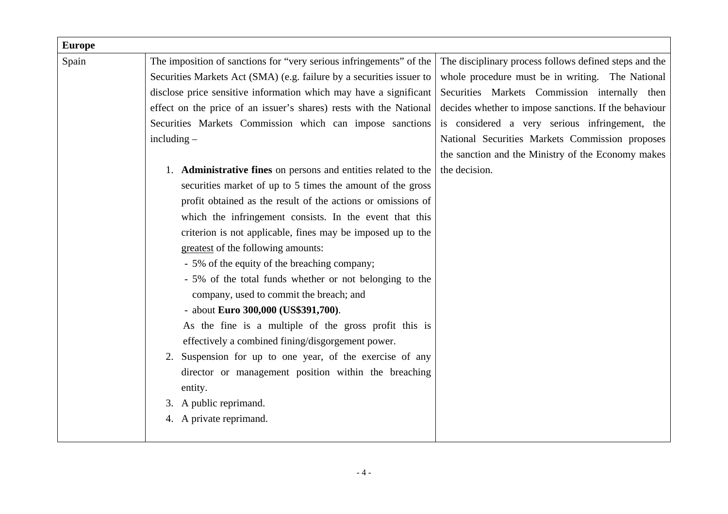| Spain | The imposition of sanctions for "very serious infringements" of the<br>Securities Markets Act (SMA) (e.g. failure by a securities issuer to<br>disclose price sensitive information which may have a significant<br>effect on the price of an issuer's shares) rests with the National<br>Securities Markets Commission which can impose sanctions<br>$including -$<br>1. Administrative fines on persons and entities related to the<br>securities market of up to 5 times the amount of the gross<br>profit obtained as the result of the actions or omissions of<br>which the infringement consists. In the event that this<br>criterion is not applicable, fines may be imposed up to the<br>greatest of the following amounts:<br>- 5% of the equity of the breaching company; | The disciplinary process follows defined steps and the<br>whole procedure must be in writing. The National<br>Securities Markets Commission internally then<br>decides whether to impose sanctions. If the behaviour<br>National Securities Markets Commission proposes<br>the decision. |
|-------|-------------------------------------------------------------------------------------------------------------------------------------------------------------------------------------------------------------------------------------------------------------------------------------------------------------------------------------------------------------------------------------------------------------------------------------------------------------------------------------------------------------------------------------------------------------------------------------------------------------------------------------------------------------------------------------------------------------------------------------------------------------------------------------|------------------------------------------------------------------------------------------------------------------------------------------------------------------------------------------------------------------------------------------------------------------------------------------|
|       |                                                                                                                                                                                                                                                                                                                                                                                                                                                                                                                                                                                                                                                                                                                                                                                     |                                                                                                                                                                                                                                                                                          |
|       |                                                                                                                                                                                                                                                                                                                                                                                                                                                                                                                                                                                                                                                                                                                                                                                     |                                                                                                                                                                                                                                                                                          |
|       |                                                                                                                                                                                                                                                                                                                                                                                                                                                                                                                                                                                                                                                                                                                                                                                     |                                                                                                                                                                                                                                                                                          |
|       |                                                                                                                                                                                                                                                                                                                                                                                                                                                                                                                                                                                                                                                                                                                                                                                     | is considered a very serious infringement, the                                                                                                                                                                                                                                           |
|       |                                                                                                                                                                                                                                                                                                                                                                                                                                                                                                                                                                                                                                                                                                                                                                                     | the sanction and the Ministry of the Economy makes                                                                                                                                                                                                                                       |
|       |                                                                                                                                                                                                                                                                                                                                                                                                                                                                                                                                                                                                                                                                                                                                                                                     |                                                                                                                                                                                                                                                                                          |
|       |                                                                                                                                                                                                                                                                                                                                                                                                                                                                                                                                                                                                                                                                                                                                                                                     |                                                                                                                                                                                                                                                                                          |
|       |                                                                                                                                                                                                                                                                                                                                                                                                                                                                                                                                                                                                                                                                                                                                                                                     |                                                                                                                                                                                                                                                                                          |
|       |                                                                                                                                                                                                                                                                                                                                                                                                                                                                                                                                                                                                                                                                                                                                                                                     |                                                                                                                                                                                                                                                                                          |
|       |                                                                                                                                                                                                                                                                                                                                                                                                                                                                                                                                                                                                                                                                                                                                                                                     |                                                                                                                                                                                                                                                                                          |
|       |                                                                                                                                                                                                                                                                                                                                                                                                                                                                                                                                                                                                                                                                                                                                                                                     |                                                                                                                                                                                                                                                                                          |
|       |                                                                                                                                                                                                                                                                                                                                                                                                                                                                                                                                                                                                                                                                                                                                                                                     |                                                                                                                                                                                                                                                                                          |
|       |                                                                                                                                                                                                                                                                                                                                                                                                                                                                                                                                                                                                                                                                                                                                                                                     |                                                                                                                                                                                                                                                                                          |
|       |                                                                                                                                                                                                                                                                                                                                                                                                                                                                                                                                                                                                                                                                                                                                                                                     |                                                                                                                                                                                                                                                                                          |
|       | - 5% of the total funds whether or not belonging to the                                                                                                                                                                                                                                                                                                                                                                                                                                                                                                                                                                                                                                                                                                                             |                                                                                                                                                                                                                                                                                          |
|       | company, used to commit the breach; and                                                                                                                                                                                                                                                                                                                                                                                                                                                                                                                                                                                                                                                                                                                                             |                                                                                                                                                                                                                                                                                          |
|       | - about Euro 300,000 (US\$391,700).                                                                                                                                                                                                                                                                                                                                                                                                                                                                                                                                                                                                                                                                                                                                                 |                                                                                                                                                                                                                                                                                          |
|       | As the fine is a multiple of the gross profit this is                                                                                                                                                                                                                                                                                                                                                                                                                                                                                                                                                                                                                                                                                                                               |                                                                                                                                                                                                                                                                                          |
|       | effectively a combined fining/disgorgement power.                                                                                                                                                                                                                                                                                                                                                                                                                                                                                                                                                                                                                                                                                                                                   |                                                                                                                                                                                                                                                                                          |
|       | Suspension for up to one year, of the exercise of any<br>2.                                                                                                                                                                                                                                                                                                                                                                                                                                                                                                                                                                                                                                                                                                                         |                                                                                                                                                                                                                                                                                          |
|       | director or management position within the breaching                                                                                                                                                                                                                                                                                                                                                                                                                                                                                                                                                                                                                                                                                                                                |                                                                                                                                                                                                                                                                                          |
|       | entity.                                                                                                                                                                                                                                                                                                                                                                                                                                                                                                                                                                                                                                                                                                                                                                             |                                                                                                                                                                                                                                                                                          |
|       | 3. A public reprimand.                                                                                                                                                                                                                                                                                                                                                                                                                                                                                                                                                                                                                                                                                                                                                              |                                                                                                                                                                                                                                                                                          |
|       | 4. A private reprimand.                                                                                                                                                                                                                                                                                                                                                                                                                                                                                                                                                                                                                                                                                                                                                             |                                                                                                                                                                                                                                                                                          |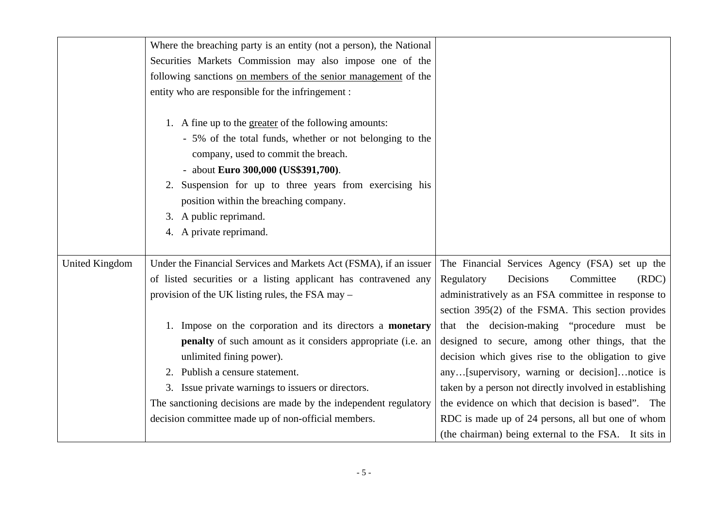|                       | Where the breaching party is an entity (not a person), the National                                                                                                                                                                                                                                                                                    |                                                         |
|-----------------------|--------------------------------------------------------------------------------------------------------------------------------------------------------------------------------------------------------------------------------------------------------------------------------------------------------------------------------------------------------|---------------------------------------------------------|
|                       | Securities Markets Commission may also impose one of the                                                                                                                                                                                                                                                                                               |                                                         |
|                       | following sanctions on members of the senior management of the                                                                                                                                                                                                                                                                                         |                                                         |
|                       | entity who are responsible for the infringement :                                                                                                                                                                                                                                                                                                      |                                                         |
|                       | 1. A fine up to the greater of the following amounts:<br>- 5% of the total funds, whether or not belonging to the<br>company, used to commit the breach.<br>- about Euro 300,000 (US\$391,700).<br>2. Suspension for up to three years from exercising his<br>position within the breaching company.<br>A public reprimand.<br>4. A private reprimand. |                                                         |
| <b>United Kingdom</b> | Under the Financial Services and Markets Act (FSMA), if an issuer                                                                                                                                                                                                                                                                                      | The Financial Services Agency (FSA) set up the          |
|                       | of listed securities or a listing applicant has contravened any                                                                                                                                                                                                                                                                                        | (RDC)<br>Regulatory<br>Decisions<br>Committee           |
|                       | provision of the UK listing rules, the FSA may -                                                                                                                                                                                                                                                                                                       | administratively as an FSA committee in response to     |
|                       |                                                                                                                                                                                                                                                                                                                                                        | section 395(2) of the FSMA. This section provides       |
|                       | 1. Impose on the corporation and its directors a <b>monetary</b>                                                                                                                                                                                                                                                                                       | that the decision-making "procedure must be             |
|                       | penalty of such amount as it considers appropriate (i.e. an                                                                                                                                                                                                                                                                                            | designed to secure, among other things, that the        |
|                       | unlimited fining power).                                                                                                                                                                                                                                                                                                                               | decision which gives rise to the obligation to give     |
|                       | 2. Publish a censure statement.                                                                                                                                                                                                                                                                                                                        | any[supervisory, warning or decision]notice is          |
|                       | 3. Issue private warnings to issuers or directors.                                                                                                                                                                                                                                                                                                     | taken by a person not directly involved in establishing |
|                       | The sanctioning decisions are made by the independent regulatory                                                                                                                                                                                                                                                                                       | the evidence on which that decision is based". The      |
|                       | decision committee made up of non-official members.                                                                                                                                                                                                                                                                                                    | RDC is made up of 24 persons, all but one of whom       |
|                       |                                                                                                                                                                                                                                                                                                                                                        | (the chairman) being external to the FSA. It sits in    |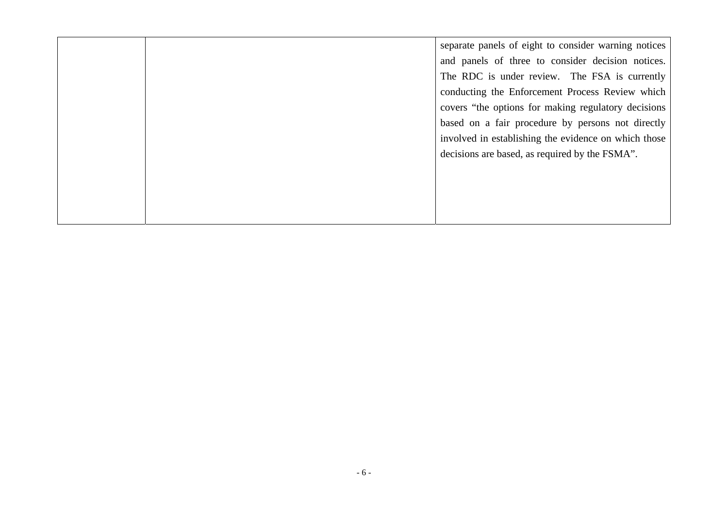separate panels of eight to consider warning notices and panels of three to consider decision notices. The RDC is under review. The FSA is currently conducting the Enforcement Process Review which covers "the options for making regulatory decisions based on a fair procedure by persons not directly involved in establishing the evidence on which those decisions are based, as required by the FSMA".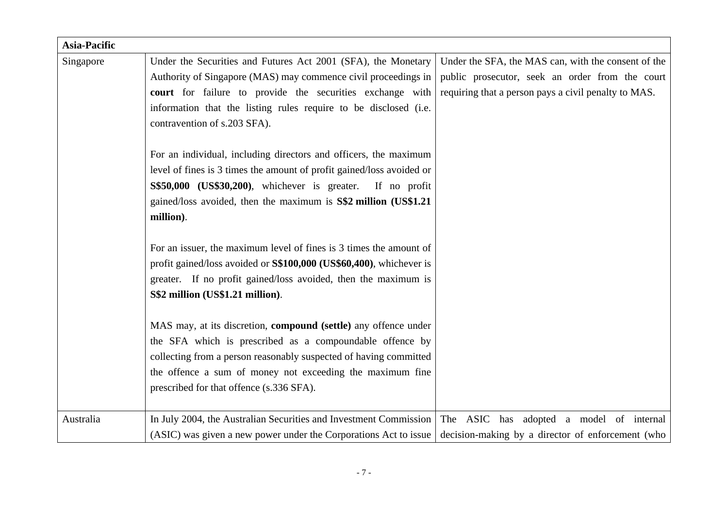| <b>Asia-Pacific</b> |                                                                        |                                                      |
|---------------------|------------------------------------------------------------------------|------------------------------------------------------|
| Singapore           | Under the Securities and Futures Act 2001 (SFA), the Monetary          | Under the SFA, the MAS can, with the consent of the  |
|                     | Authority of Singapore (MAS) may commence civil proceedings in         | public prosecutor, seek an order from the court      |
|                     | court for failure to provide the securities exchange with              | requiring that a person pays a civil penalty to MAS. |
|                     | information that the listing rules require to be disclosed (i.e.       |                                                      |
|                     | contravention of s.203 SFA).                                           |                                                      |
|                     |                                                                        |                                                      |
|                     | For an individual, including directors and officers, the maximum       |                                                      |
|                     | level of fines is 3 times the amount of profit gained/loss avoided or  |                                                      |
|                     | S\$50,000 (US\$30,200), whichever is greater. If no profit             |                                                      |
|                     | gained/loss avoided, then the maximum is S\$2 million (US\$1.21)       |                                                      |
|                     | million).                                                              |                                                      |
|                     |                                                                        |                                                      |
|                     | For an issuer, the maximum level of fines is 3 times the amount of     |                                                      |
|                     | profit gained/loss avoided or S\$100,000 (US\$60,400), whichever is    |                                                      |
|                     | greater. If no profit gained/loss avoided, then the maximum is         |                                                      |
|                     | S\$2 million (US\$1.21 million).                                       |                                                      |
|                     |                                                                        |                                                      |
|                     | MAS may, at its discretion, <b>compound</b> (settle) any offence under |                                                      |
|                     | the SFA which is prescribed as a compoundable offence by               |                                                      |
|                     | collecting from a person reasonably suspected of having committed      |                                                      |
|                     | the offence a sum of money not exceeding the maximum fine              |                                                      |
|                     | prescribed for that offence (s.336 SFA).                               |                                                      |
|                     |                                                                        |                                                      |
| Australia           | In July 2004, the Australian Securities and Investment Commission      | The ASIC has adopted a model of internal             |
|                     | (ASIC) was given a new power under the Corporations Act to issue       | decision-making by a director of enforcement (who    |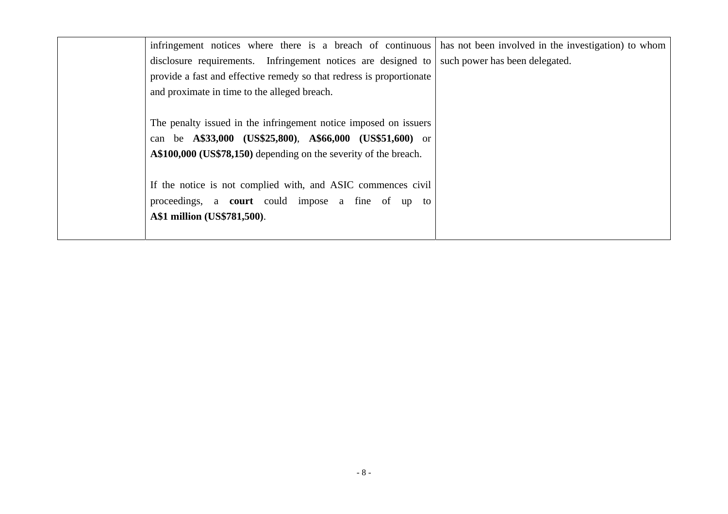| infringement notices where there is a breach of continuous           | has not been involved in the investigation) to whom |
|----------------------------------------------------------------------|-----------------------------------------------------|
| disclosure requirements. Infringement notices are designed to        | such power has been delegated.                      |
| provide a fast and effective remedy so that redress is proportionate |                                                     |
| and proximate in time to the alleged breach.                         |                                                     |
|                                                                      |                                                     |
| The penalty issued in the infringement notice imposed on issuers     |                                                     |
| can be A\$33,000 (US\$25,800), A\$66,000 (US\$51,600) or             |                                                     |
| A\$100,000 (US\$78,150) depending on the severity of the breach.     |                                                     |
|                                                                      |                                                     |
| If the notice is not complied with, and ASIC commences civil         |                                                     |
| proceedings, a <b>court</b> could impose a fine of up to             |                                                     |
| A\$1 million (US\$781,500).                                          |                                                     |
|                                                                      |                                                     |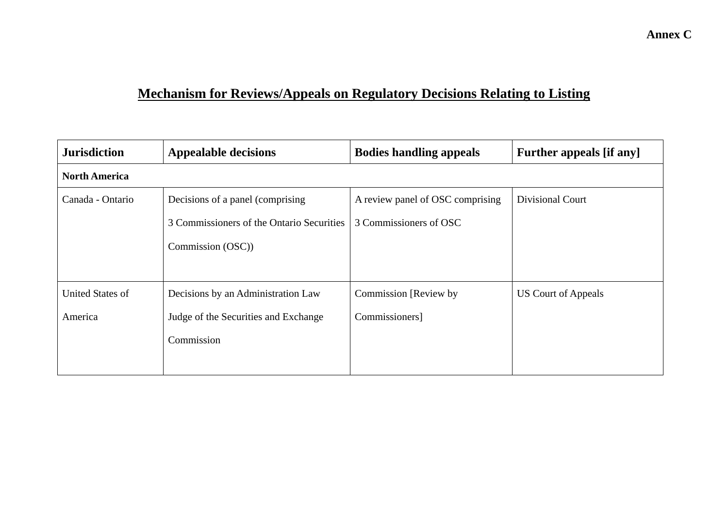# **Mechanism for Reviews/Appeals on Regulatory Decisions Relating to Listing**

| <b>Jurisdiction</b>     | <b>Appealable decisions</b>               | <b>Bodies handling appeals</b>   | <b>Further appeals [if any]</b> |  |  |  |
|-------------------------|-------------------------------------------|----------------------------------|---------------------------------|--|--|--|
| <b>North America</b>    |                                           |                                  |                                 |  |  |  |
| Canada - Ontario        | Decisions of a panel (comprising)         | A review panel of OSC comprising | Divisional Court                |  |  |  |
|                         | 3 Commissioners of the Ontario Securities | 3 Commissioners of OSC           |                                 |  |  |  |
|                         | Commission (OSC))                         |                                  |                                 |  |  |  |
|                         |                                           |                                  |                                 |  |  |  |
| <b>United States of</b> | Decisions by an Administration Law        | Commission [Review by]           | US Court of Appeals             |  |  |  |
| America                 | Judge of the Securities and Exchange      | Commissioners]                   |                                 |  |  |  |
|                         | Commission                                |                                  |                                 |  |  |  |
|                         |                                           |                                  |                                 |  |  |  |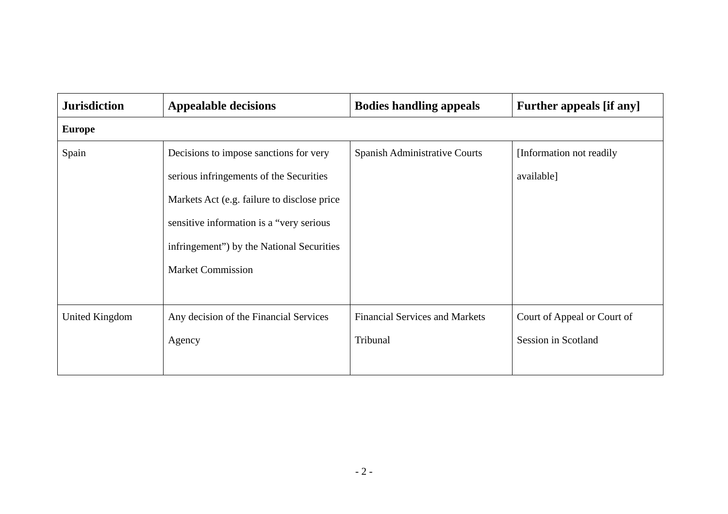| <b>Jurisdiction</b> | <b>Appealable decisions</b>                 | <b>Bodies handling appeals</b>        | <b>Further appeals [if any]</b> |
|---------------------|---------------------------------------------|---------------------------------------|---------------------------------|
| <b>Europe</b>       |                                             |                                       |                                 |
| Spain               | Decisions to impose sanctions for very      | Spanish Administrative Courts         | [Information not readily]       |
|                     | serious infringements of the Securities     |                                       | available]                      |
|                     | Markets Act (e.g. failure to disclose price |                                       |                                 |
|                     | sensitive information is a "very serious    |                                       |                                 |
|                     | infringement") by the National Securities   |                                       |                                 |
|                     | <b>Market Commission</b>                    |                                       |                                 |
|                     |                                             |                                       |                                 |
| United Kingdom      | Any decision of the Financial Services      | <b>Financial Services and Markets</b> | Court of Appeal or Court of     |
|                     | Agency                                      | Tribunal                              | Session in Scotland             |
|                     |                                             |                                       |                                 |